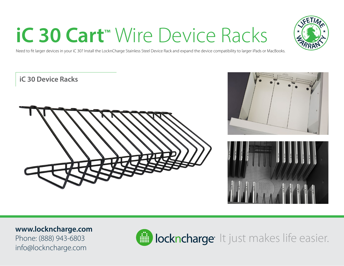# **iC 30 Cart™** Wire Device Racks



Need to fit larger devices in your iC 30? Install the LocknCharge Stainless Steel Device Rack and expand the device compatibility to larger iPads or MacBooks.

#### **iC 30 Device Racks**







#### **www.lockncharge.com**

Phone: (888) 943-6803 info@lockncharge.com